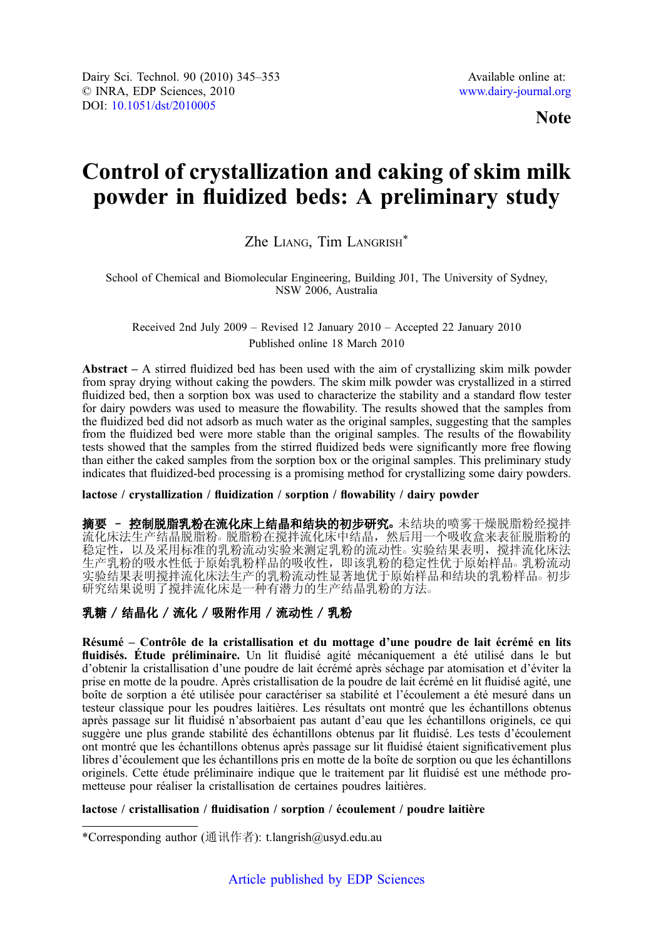Note

# Control of crystallization and caking of skim milk powder in fluidized beds: A preliminary study

# Zhe LIANG, Tim LANGRISH\*

School of Chemical and Biomolecular Engineering, Building J01, The University of Sydney, NSW 2006, Australia

Received 2nd July 2009 – Revised 12 January 2010 – Accepted 22 January 2010 Published online 18 March 2010

Abstract – A stirred fluidized bed has been used with the aim of crystallizing skim milk powder from spray drying without caking the powders. The skim milk powder was crystallized in a stirred fluidized bed, then a sorption box was used to characterize the stability and a standard flow tester for dairy powders was used to measure the flowability. The results showed that the samples from the fluidized bed did not adsorb as much water as the original samples, suggesting that the samples from the fluidized bed were more stable than the original samples. The results of the flowability tests showed that the samples from the stirred fluidized beds were significantly more free flowing than either the caked samples from the sorption box or the original samples. This preliminary study indicates that fluidized-bed processing is a promising method for crystallizing some dairy powders.

# lactose / crystallization / fluidization / sorption / flowability / dairy powder

摘要 - 控制脱脂乳粉在流化床上结晶和结块的初步研究。未结块的喷雾干燥脱脂粉经搅拌 流化床法生产结晶脱脂粉。 脱脂粉在搅拌流化床中结晶,然后用一个吸收盒来表征脱脂粉的 稳定性,以及采用标准的乳粉流动实验来测定乳粉的流动性。实验结果表明,搅拌流化床法 生产乳粉的吸水性低于原始乳粉样品的吸收性,即该乳粉的稳定性优于原始样品。乳粉流动 实验结果表明搅拌流化床法生产的乳粉流动性显著地优于原始样品和结块的乳粉样品。初步 研究结果说明了搅拌流化床是一种有潜力的生产结晶乳粉的方法。

# 乳糖 / 结晶化 / 流化 / 吸附作用 / 流动性 / 乳粉

Résumé – Contrôle de la cristallisation et du mottage d'une poudre de lait écrémé en lits fluidisés. Étude préliminaire. Un lit fluidisé agité mécaniquement a été utilisé dans le but d'obtenir la cristallisation d'une poudre de lait écrémé après séchage par atomisation et d'éviter la prise en motte de la poudre. Après cristallisation de la poudre de lait écrémé en lit fluidisé agité, une boîte de sorption a été utilisée pour caractériser sa stabilité et l'écoulement a été mesuré dans un testeur classique pour les poudres laitières. Les résultats ont montré que les échantillons obtenus après passage sur lit fluidisé n'absorbaient pas autant d'eau que les échantillons originels, ce qui suggère une plus grande stabilité des échantillons obtenus par lit fluidisé. Les tests d'écoulement ont montré que les échantillons obtenus après passage sur lit fluidisé étaient significativement plus libres d'écoulement que les échantillons pris en motte de la boîte de sorption ou que les échantillons originels. Cette étude préliminaire indique que le traitement par lit fluidisé est une méthode prometteuse pour réaliser la cristallisation de certaines poudres laitières.

# lactose / cristallisation / fluidisation / sorption / écoulement / poudre laitière

<sup>\*</sup>Corresponding author (通讯作者): t.langrish@usyd.edu.au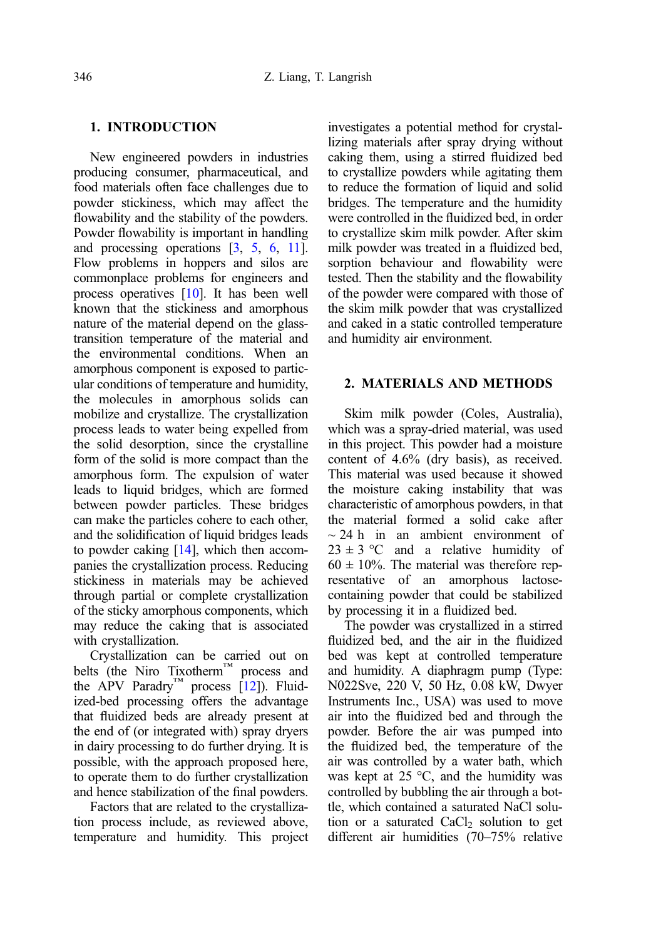# 1. INTRODUCTION

New engineered powders in industries producing consumer, pharmaceutical, and food materials often face challenges due to powder stickiness, which may affect the flowability and the stability of the powders. Powder flowability is important in handling and processing operations [[3,](#page-7-0) [5,](#page-7-0) [6](#page-7-0), [11\]](#page-8-0). Flow problems in hoppers and silos are commonplace problems for engineers and process operatives [\[10](#page-8-0)]. It has been well known that the stickiness and amorphous nature of the material depend on the glasstransition temperature of the material and the environmental conditions. When an amorphous component is exposed to particular conditions of temperature and humidity, the molecules in amorphous solids can mobilize and crystallize. The crystallization process leads to water being expelled from the solid desorption, since the crystalline form of the solid is more compact than the amorphous form. The expulsion of water leads to liquid bridges, which are formed between powder particles. These bridges can make the particles cohere to each other, and the solidification of liquid bridges leads to powder caking [\[14\]](#page-8-0), which then accompanies the crystallization process. Reducing stickiness in materials may be achieved through partial or complete crystallization of the sticky amorphous components, which may reduce the caking that is associated with crystallization.

Crystallization can be carried out on belts (the Niro Tixotherm™ process and the APV Paradry<sup>™</sup> process  $[12]$ ). Fluidized-bed processing offers the advantage that fluidized beds are already present at the end of (or integrated with) spray dryers in dairy processing to do further drying. It is possible, with the approach proposed here, to operate them to do further crystallization and hence stabilization of the final powders.

Factors that are related to the crystallization process include, as reviewed above, temperature and humidity. This project investigates a potential method for crystallizing materials after spray drying without caking them, using a stirred fluidized bed to crystallize powders while agitating them to reduce the formation of liquid and solid bridges. The temperature and the humidity were controlled in the fluidized bed, in order to crystallize skim milk powder. After skim milk powder was treated in a fluidized bed, sorption behaviour and flowability were tested. Then the stability and the flowability of the powder were compared with those of the skim milk powder that was crystallized and caked in a static controlled temperature and humidity air environment.

# 2. MATERIALS AND METHODS

Skim milk powder (Coles, Australia), which was a spray-dried material, was used in this project. This powder had a moisture content of 4.6% (dry basis), as received. This material was used because it showed the moisture caking instability that was characteristic of amorphous powders, in that the material formed a solid cake after  $\sim$  24 h in an ambient environment of  $23 \pm 3$  °C and a relative humidity of  $60 \pm 10\%$ . The material was therefore representative of an amorphous lactosecontaining powder that could be stabilized by processing it in a fluidized bed.

The powder was crystallized in a stirred fluidized bed, and the air in the fluidized bed was kept at controlled temperature and humidity. A diaphragm pump (Type: N022Sve, 220 V, 50 Hz, 0.08 kW, Dwyer Instruments Inc., USA) was used to move air into the fluidized bed and through the powder. Before the air was pumped into the fluidized bed, the temperature of the air was controlled by a water bath, which was kept at  $25 \text{ °C}$ , and the humidity was controlled by bubbling the air through a bottle, which contained a saturated NaCl solution or a saturated  $CaCl<sub>2</sub>$  solution to get different air humidities (70–75% relative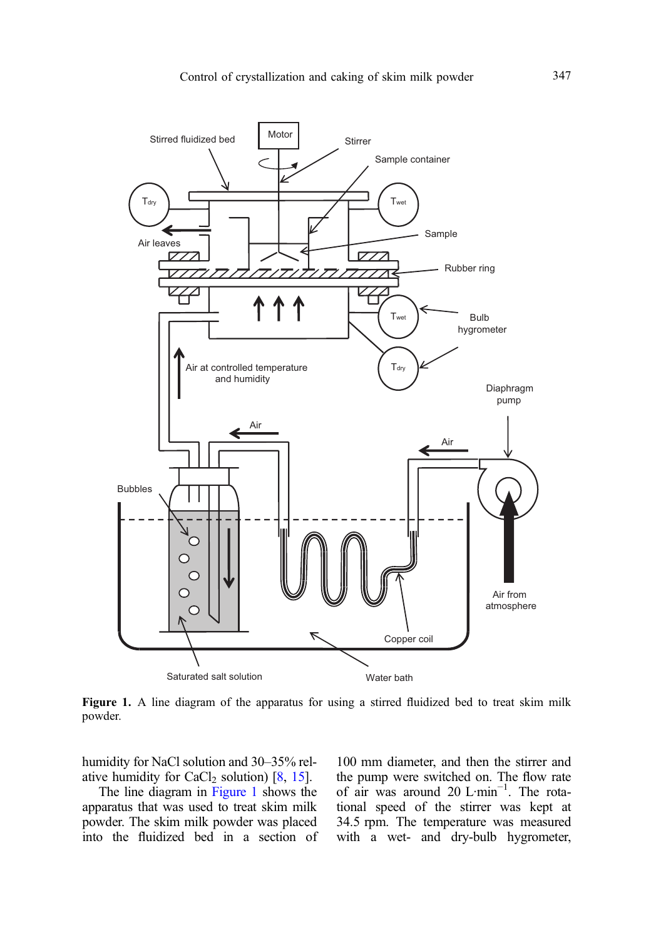

Figure 1. A line diagram of the apparatus for using a stirred fluidized bed to treat skim milk powder.

humidity for NaCl solution and 30–35% relative humidity for CaCl<sub>2</sub> solution)  $[8, 15]$  $[8, 15]$  $[8, 15]$  $[8, 15]$ .

The line diagram in Figure 1 shows the apparatus that was used to treat skim milk powder. The skim milk powder was placed into the fluidized bed in a section of 100 mm diameter, and then the stirrer and the pump were switched on. The flow rate of air was around 20 L·min<sup>-1</sup>. The rotational speed of the stirrer was kept at 34.5 rpm. The temperature was measured with a wet- and dry-bulb hygrometer,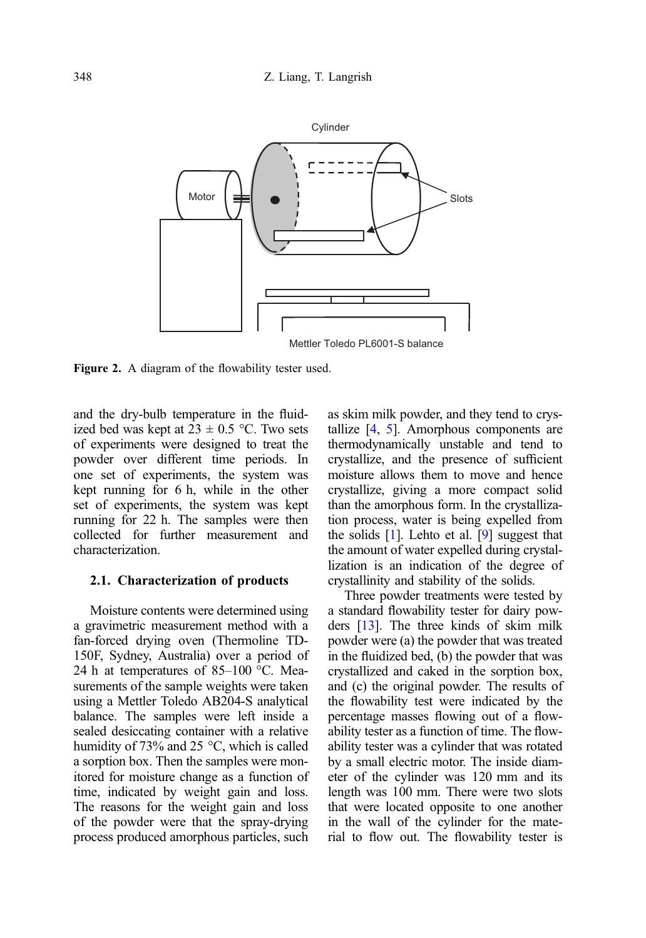<span id="page-3-0"></span>

Figure 2. A diagram of the flowability tester used.

and the dry-bulb temperature in the fluidized bed was kept at  $23 \pm 0.5$  °C. Two sets of experiments were designed to treat the powder over different time periods. In one set of experiments, the system was kept running for 6 h, while in the other set of experiments, the system was kept running for 22 h. The samples were then collected for further measurement and characterization.

#### 2.1. Characterization of products

Moisture contents were determined using a gravimetric measurement method with a fan-forced drying oven (Thermoline TD-150F, Sydney, Australia) over a period of 24 h at temperatures of 85–100 °C. Measurements of the sample weights were taken using a Mettler Toledo AB204-S analytical balance. The samples were left inside a sealed desiccating container with a relative humidity of 73% and 25 °C, which is called a sorption box. Then the samples were monitored for moisture change as a function of time, indicated by weight gain and loss. The reasons for the weight gain and loss of the powder were that the spray-drying process produced amorphous particles, such as skim milk powder, and they tend to crystallize [\[4,](#page-7-0) [5\]](#page-7-0). Amorphous components are thermodynamically unstable and tend to crystallize, and the presence of sufficient moisture allows them to move and hence crystallize, giving a more compact solid than the amorphous form. In the crystallization process, water is being expelled from the solids  $[1]$ . Lehto et al.  $[9]$  suggest that the amount of water expelled during crystallization is an indication of the degree of crystallinity and stability of the solids.

Three powder treatments were tested by a standard flowability tester for dairy powders [[13](#page-8-0)]. The three kinds of skim milk powder were (a) the powder that was treated in the fluidized bed, (b) the powder that was crystallized and caked in the sorption box, and (c) the original powder. The results of the flowability test were indicated by the percentage masses flowing out of a flowability tester as a function of time. The flowability tester was a cylinder that was rotated by a small electric motor. The inside diameter of the cylinder was 120 mm and its length was 100 mm. There were two slots that were located opposite to one another in the wall of the cylinder for the material to flow out. The flowability tester is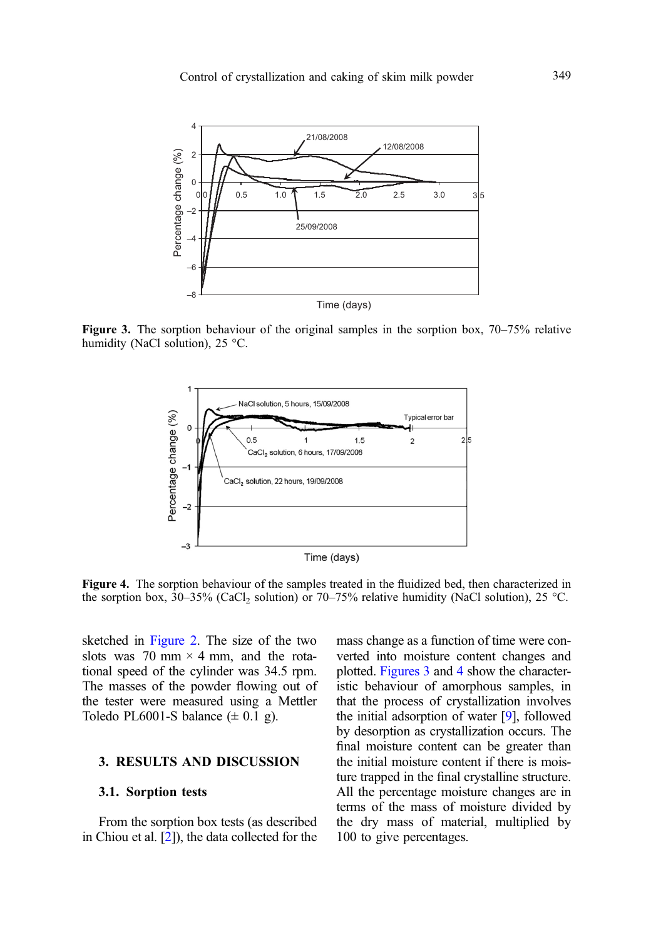<span id="page-4-0"></span>

Figure 3. The sorption behaviour of the original samples in the sorption box, 70–75% relative humidity (NaCl solution), 25 °C.



Figure 4. The sorption behaviour of the samples treated in the fluidized bed, then characterized in the sorption box, 30–35% (CaCl<sub>2</sub> solution) or 70–75% relative humidity (NaCl solution), 25 °C.

sketched in [Figure 2.](#page-3-0) The size of the two slots was 70 mm  $\times$  4 mm, and the rotational speed of the cylinder was 34.5 rpm. The masses of the powder flowing out of the tester were measured using a Mettler Toledo PL6001-S balance  $(\pm 0.1 \text{ g})$ .

#### 3. RESULTS AND DISCUSSION

# 3.1. Sorption tests

From the sorption box tests (as described in Chiou et al. [\[2](#page-7-0)]), the data collected for the mass change as a function of time were converted into moisture content changes and plotted. Figures 3 and 4 show the characteristic behaviour of amorphous samples, in that the process of crystallization involves the initial adsorption of water [\[9\]](#page-7-0), followed by desorption as crystallization occurs. The final moisture content can be greater than the initial moisture content if there is moisture trapped in the final crystalline structure. All the percentage moisture changes are in terms of the mass of moisture divided by the dry mass of material, multiplied by 100 to give percentages.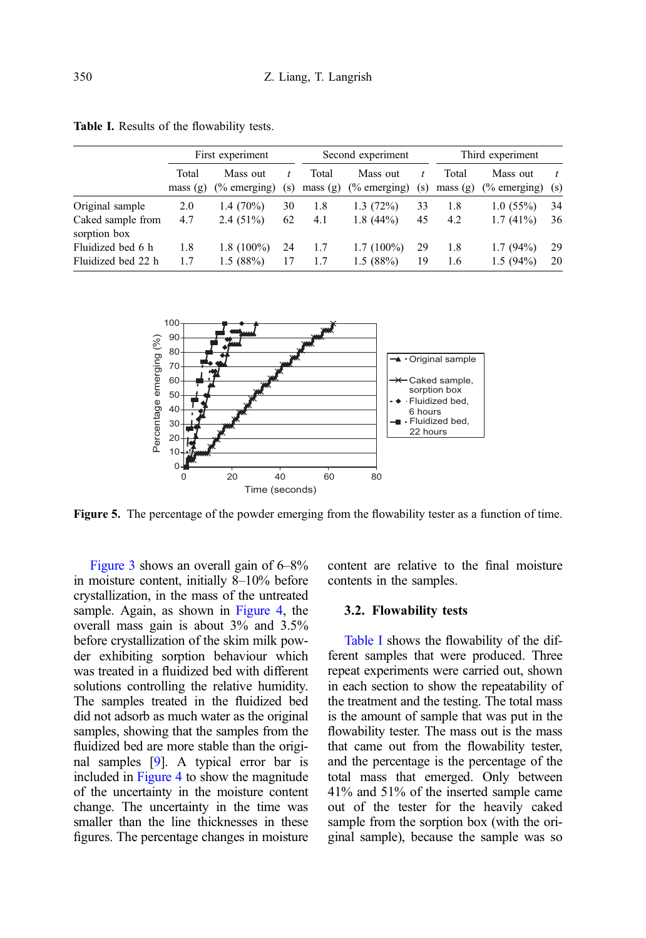|                                   | First experiment |                                     |     | Second experiment |                             |     | Third experiment |                             |     |
|-----------------------------------|------------------|-------------------------------------|-----|-------------------|-----------------------------|-----|------------------|-----------------------------|-----|
|                                   | Total<br>mass(g) | Mass out<br>$\frac{6}{6}$ emerging) | (s) | Total<br>mass(g)  | Mass out<br>$(\%$ emerging) | (s) | Total<br>mass(g) | Mass out<br>$(\%$ emerging) | (s) |
| Original sample                   | 2.0              | $1.4(70\%)$                         | 30  | 1.8               | 1.3(72%)                    | 33  | 1.8              | $1.0(55\%)$                 | 34  |
| Caked sample from<br>sorption box | 4.7              | $2.4(51\%)$                         | 62  | 4.1               | $1.8(44\%)$                 | 45  | 4.2              | $1.7(41\%)$                 | 36  |
| Fluidized bed 6 h                 | 1.8              | $1.8(100\%)$                        | 24  | 1.7               | $1.7(100\%)$                | 29  | 1.8              | $1.7(94\%)$                 | 29  |
| Fluidized bed 22 h                | 1.7              | 1.5(88%)                            |     | 1.7               | 1.5(88%)                    | 19  | 1.6              | $1.5(94\%)$                 | 20  |

<span id="page-5-0"></span>Table I. Results of the flowability tests.



Figure 5. The percentage of the powder emerging from the flowability tester as a function of time.

[Figure 3](#page-4-0) shows an overall gain of 6–8% in moisture content, initially 8–10% before crystallization, in the mass of the untreated sample. Again, as shown in [Figure 4,](#page-4-0) the overall mass gain is about 3% and 3.5% before crystallization of the skim milk powder exhibiting sorption behaviour which was treated in a fluidized bed with different solutions controlling the relative humidity. The samples treated in the fluidized bed did not adsorb as much water as the original samples, showing that the samples from the fluidized bed are more stable than the original samples [[9](#page-7-0)]. A typical error bar is included in [Figure 4](#page-4-0) to show the magnitude of the uncertainty in the moisture content change. The uncertainty in the time was smaller than the line thicknesses in these figures. The percentage changes in moisture content are relative to the final moisture contents in the samples.

#### 3.2. Flowability tests

Table I shows the flowability of the different samples that were produced. Three repeat experiments were carried out, shown in each section to show the repeatability of the treatment and the testing. The total mass is the amount of sample that was put in the flowability tester. The mass out is the mass that came out from the flowability tester, and the percentage is the percentage of the total mass that emerged. Only between 41% and 51% of the inserted sample came out of the tester for the heavily caked sample from the sorption box (with the original sample), because the sample was so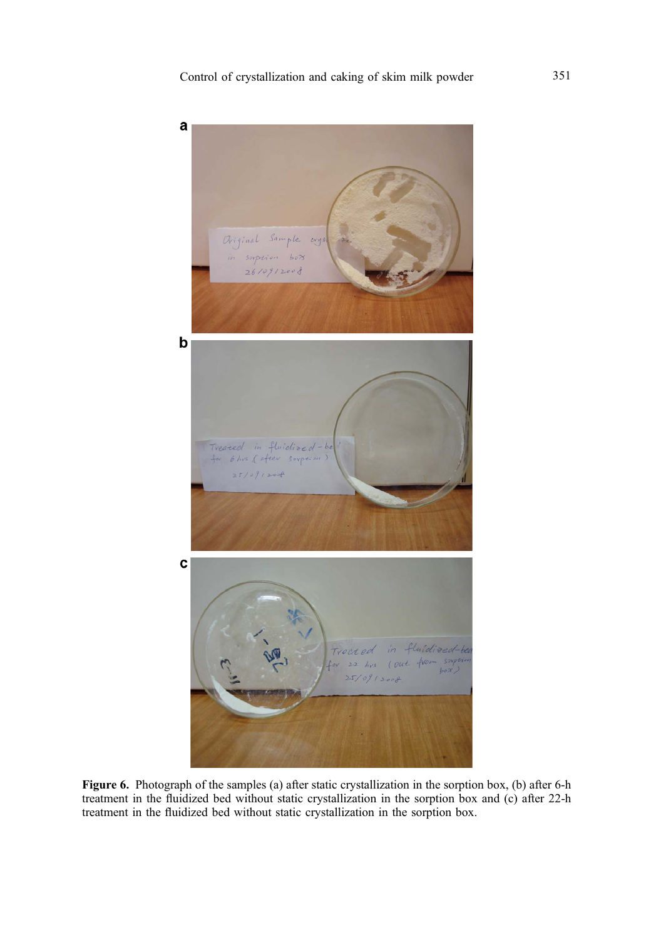<span id="page-6-0"></span>

Figure 6. Photograph of the samples (a) after static crystallization in the sorption box, (b) after 6-h treatment in the fluidized bed without static crystallization in the sorption box and (c) after 22-h treatment in the fluidized bed without static crystallization in the sorption box.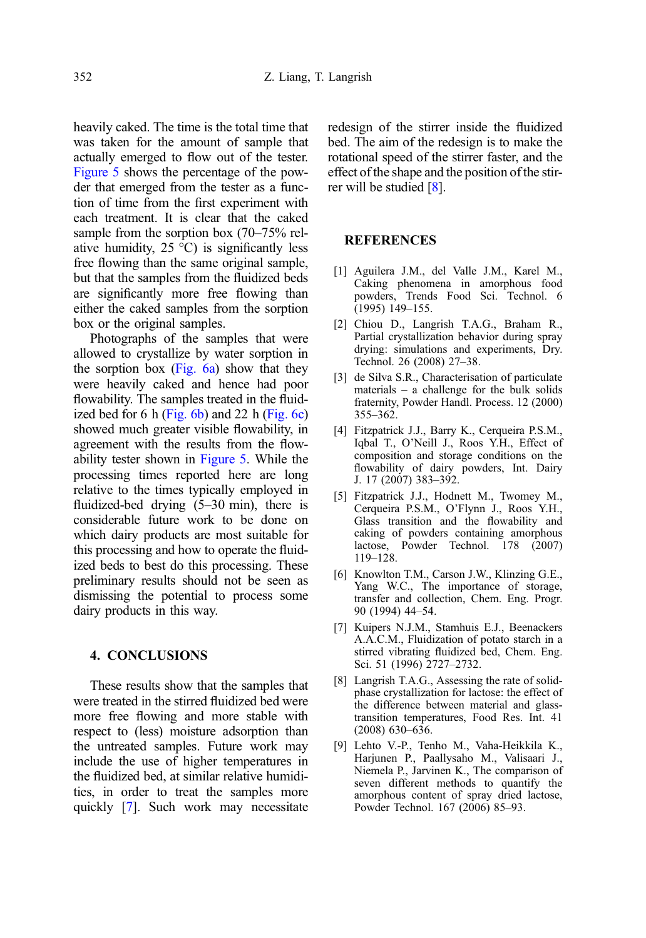<span id="page-7-0"></span>heavily caked. The time is the total time that was taken for the amount of sample that actually emerged to flow out of the tester. [Figure 5](#page-5-0) shows the percentage of the powder that emerged from the tester as a function of time from the first experiment with each treatment. It is clear that the caked sample from the sorption box (70–75% relative humidity,  $25^{\circ}$ C) is significantly less free flowing than the same original sample, but that the samples from the fluidized beds are significantly more free flowing than either the caked samples from the sorption box or the original samples.

Photographs of the samples that were allowed to crystallize by water sorption in the sorption box [\(Fig. 6a\)](#page-6-0) show that they were heavily caked and hence had poor flowability. The samples treated in the fluidized bed for 6 h (Fig.  $6b$ ) and 22 h (Fig.  $6c$ ) showed much greater visible flowability, in agreement with the results from the flowability tester shown in [Figure 5.](#page-5-0) While the processing times reported here are long relative to the times typically employed in fluidized-bed drying (5–30 min), there is considerable future work to be done on which dairy products are most suitable for this processing and how to operate the fluidized beds to best do this processing. These preliminary results should not be seen as dismissing the potential to process some dairy products in this way.

# 4. CONCLUSIONS

These results show that the samples that were treated in the stirred fluidized bed were more free flowing and more stable with respect to (less) moisture adsorption than the untreated samples. Future work may include the use of higher temperatures in the fluidized bed, at similar relative humidities, in order to treat the samples more quickly [7]. Such work may necessitate redesign of the stirrer inside the fluidized bed. The aim of the redesign is to make the rotational speed of the stirrer faster, and the effect of the shape and the position of the stirrer will be studied [8].

# REFERENCES

- [1] Aguilera J.M., del Valle J.M., Karel M., Caking phenomena in amorphous food powders, Trends Food Sci. Technol. 6 (1995) 149–155.
- [2] Chiou D., Langrish T.A.G., Braham R., Partial crystallization behavior during spray drying: simulations and experiments, Dry. Technol. 26 (2008) 27–38.
- [3] de Silva S.R., Characterisation of particulate materials – a challenge for the bulk solids fraternity, Powder Handl. Process. 12 (2000) 355–362.
- [4] Fitzpatrick J.J., Barry K., Cerqueira P.S.M., Iqbal T., O'Neill J., Roos Y.H., Effect of composition and storage conditions on the flowability of dairy powders, Int. Dairy J. 17 (2007) 383–392.
- [5] Fitzpatrick J.J., Hodnett M., Twomey M., Cerqueira P.S.M., O'Flynn J., Roos Y.H., Glass transition and the flowability and caking of powders containing amorphous lactose, Powder Technol. 178 (2007) 119–128.
- [6] Knowlton T.M., Carson J.W., Klinzing G.E., Yang W.C., The importance of storage, transfer and collection, Chem. Eng. Progr. 90 (1994) 44–54.
- [7] Kuipers N.J.M., Stamhuis E.J., Beenackers A.A.C.M., Fluidization of potato starch in a stirred vibrating fluidized bed, Chem. Eng. Sci. 51 (1996) 2727–2732.
- [8] Langrish T.A.G., Assessing the rate of solidphase crystallization for lactose: the effect of the difference between material and glasstransition temperatures, Food Res. Int. 41 (2008) 630–636.
- [9] Lehto V.-P., Tenho M., Vaha-Heikkila K., Harjunen P., Paallysaho M., Valisaari J., Niemela P., Jarvinen K., The comparison of seven different methods to quantify the amorphous content of spray dried lactose, Powder Technol. 167 (2006) 85–93.